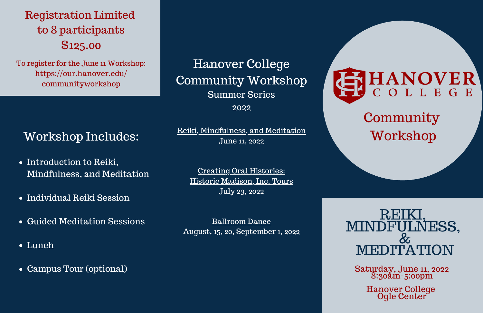# REIKI,<br>MINDFULNESS, MEDITATION

Saturday, June 11, 2022 8:30am-5:00pm

> Hanover College Ogle Center

Hanover College Community Workshop Summer Series 2022

Reiki, Mindfulness, and Meditation June 11, 2022

# **Community** Workshop

Creating Oral Histories: Historic Madison, Inc. Tours July 23, 2022

Ballroom Dance August, 15, 20, September 1, 2022

# SHANOVER

- Introduction to Reiki, Mindfulness, and Meditation
- Individual Reiki Session
- Guided Meditation Sessions
- Lunch
- Campus Tour (optional)

Registration Limited to 8 participants \$125.00

To register for the June 11 Workshop: [https://our.hanover.edu/](https://our.hanover.edu/communityworkshop) [communityworkshop](https://our.hanover.edu/communityworkshop)

### Workshop Includes: